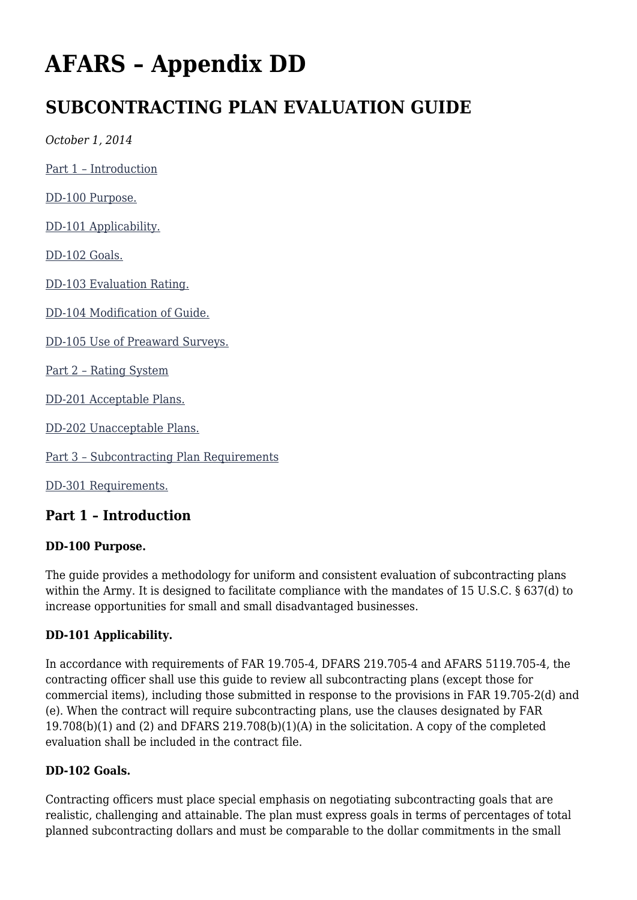# **AFARS – Appendix DD**

# **SUBCONTRACTING PLAN EVALUATION GUIDE**

*October 1, 2014*

[Part 1 – Introduction](#page--1-0)

[DD-100 Purpose.](#page--1-0)

[DD-101 Applicability.](#page--1-0)

[DD-102 Goals.](#page--1-0)

[DD-103 Evaluation Rating.](#page--1-0)

[DD-104 Modification of Guide.](#page--1-0)

[DD-105 Use of Preaward Surveys.](#page--1-0)

[Part 2 – Rating System](#page--1-0)

[DD-201 Acceptable Plans.](#page--1-0)

[DD-202 Unacceptable Plans.](#page--1-0)

[Part 3 – Subcontracting Plan Requirements](#page--1-0)

[DD-301 Requirements.](#page--1-0)

# **Part 1 – Introduction**

#### **DD-100 Purpose.**

The guide provides a methodology for uniform and consistent evaluation of subcontracting plans within the Army. It is designed to facilitate compliance with the mandates of 15 U.S.C. § 637(d) to increase opportunities for small and small disadvantaged businesses.

#### **DD-101 Applicability.**

In accordance with requirements of FAR 19.705-4, DFARS 219.705-4 and AFARS 5119.705-4, the contracting officer shall use this guide to review all subcontracting plans (except those for commercial items), including those submitted in response to the provisions in FAR 19.705-2(d) and (e). When the contract will require subcontracting plans, use the clauses designated by FAR 19.708(b)(1) and (2) and DFARS 219.708(b)(1)(A) in the solicitation. A copy of the completed evaluation shall be included in the contract file.

#### **DD-102 Goals.**

Contracting officers must place special emphasis on negotiating subcontracting goals that are realistic, challenging and attainable. The plan must express goals in terms of percentages of total planned subcontracting dollars and must be comparable to the dollar commitments in the small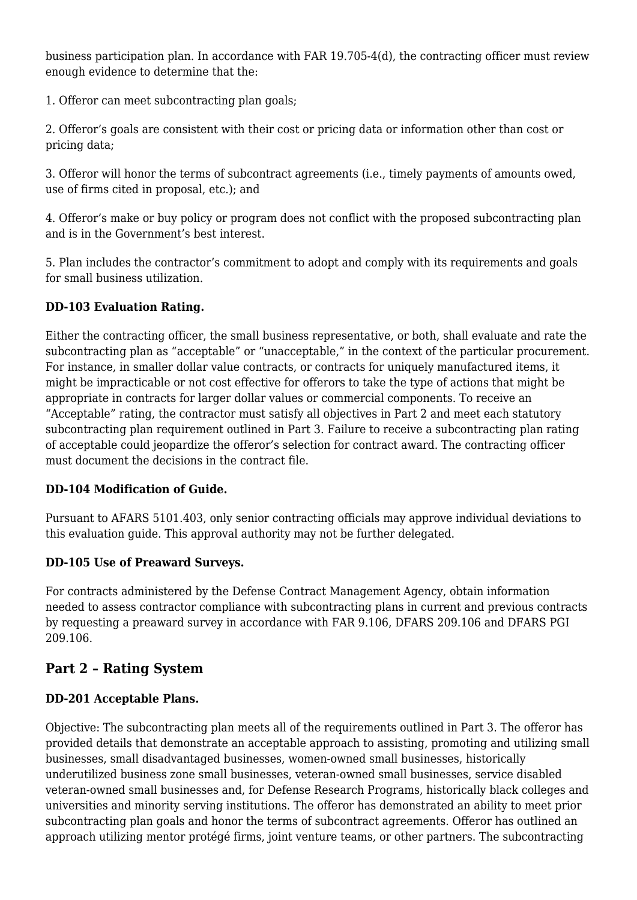business participation plan. In accordance with FAR 19.705-4(d), the contracting officer must review enough evidence to determine that the:

1. Offeror can meet subcontracting plan goals;

2. Offeror's goals are consistent with their cost or pricing data or information other than cost or pricing data;

3. Offeror will honor the terms of subcontract agreements (i.e., timely payments of amounts owed, use of firms cited in proposal, etc.); and

4. Offeror's make or buy policy or program does not conflict with the proposed subcontracting plan and is in the Government's best interest.

5. Plan includes the contractor's commitment to adopt and comply with its requirements and goals for small business utilization.

#### **DD-103 Evaluation Rating.**

Either the contracting officer, the small business representative, or both, shall evaluate and rate the subcontracting plan as "acceptable" or "unacceptable," in the context of the particular procurement. For instance, in smaller dollar value contracts, or contracts for uniquely manufactured items, it might be impracticable or not cost effective for offerors to take the type of actions that might be appropriate in contracts for larger dollar values or commercial components. To receive an "Acceptable" rating, the contractor must satisfy all objectives in Part 2 and meet each statutory subcontracting plan requirement outlined in Part 3. Failure to receive a subcontracting plan rating of acceptable could jeopardize the offeror's selection for contract award. The contracting officer must document the decisions in the contract file.

#### **DD-104 Modification of Guide.**

Pursuant to AFARS 5101.403, only senior contracting officials may approve individual deviations to this evaluation guide. This approval authority may not be further delegated.

#### **DD-105 Use of Preaward Surveys.**

For contracts administered by the Defense Contract Management Agency, obtain information needed to assess contractor compliance with subcontracting plans in current and previous contracts by requesting a preaward survey in accordance with FAR 9.106, DFARS 209.106 and DFARS PGI 209.106.

# **Part 2 – Rating System**

## **DD-201 Acceptable Plans.**

Objective: The subcontracting plan meets all of the requirements outlined in Part 3. The offeror has provided details that demonstrate an acceptable approach to assisting, promoting and utilizing small businesses, small disadvantaged businesses, women-owned small businesses, historically underutilized business zone small businesses, veteran-owned small businesses, service disabled veteran-owned small businesses and, for Defense Research Programs, historically black colleges and universities and minority serving institutions. The offeror has demonstrated an ability to meet prior subcontracting plan goals and honor the terms of subcontract agreements. Offeror has outlined an approach utilizing mentor protégé firms, joint venture teams, or other partners. The subcontracting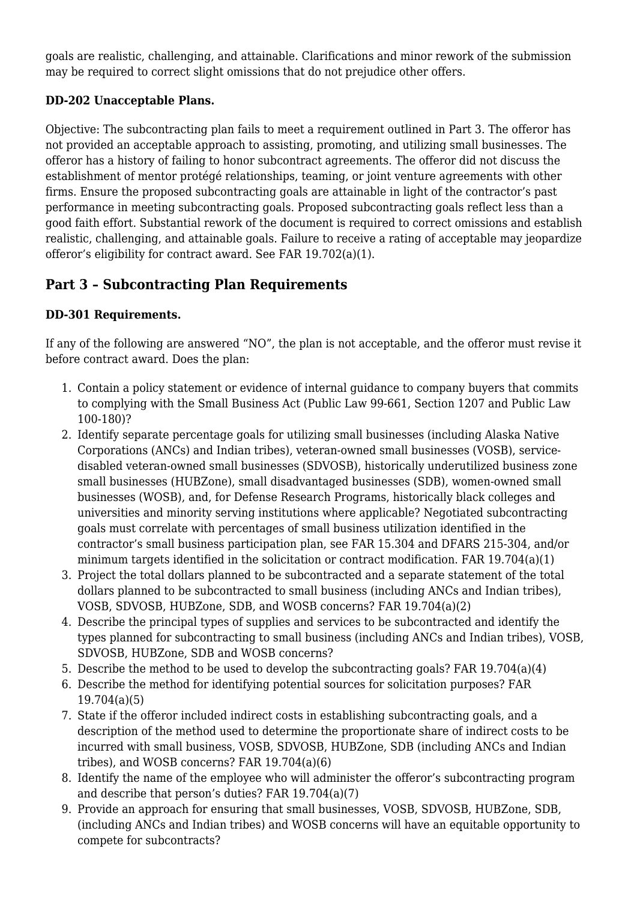goals are realistic, challenging, and attainable. Clarifications and minor rework of the submission may be required to correct slight omissions that do not prejudice other offers.

## **DD-202 Unacceptable Plans.**

Objective: The subcontracting plan fails to meet a requirement outlined in Part 3. The offeror has not provided an acceptable approach to assisting, promoting, and utilizing small businesses. The offeror has a history of failing to honor subcontract agreements. The offeror did not discuss the establishment of mentor protégé relationships, teaming, or joint venture agreements with other firms. Ensure the proposed subcontracting goals are attainable in light of the contractor's past performance in meeting subcontracting goals. Proposed subcontracting goals reflect less than a good faith effort. Substantial rework of the document is required to correct omissions and establish realistic, challenging, and attainable goals. Failure to receive a rating of acceptable may jeopardize offeror's eligibility for contract award. See FAR 19.702(a)(1).

# **Part 3 – Subcontracting Plan Requirements**

#### **DD-301 Requirements.**

If any of the following are answered "NO", the plan is not acceptable, and the offeror must revise it before contract award. Does the plan:

- 1. Contain a policy statement or evidence of internal guidance to company buyers that commits to complying with the Small Business Act (Public Law 99-661, Section 1207 and Public Law 100-180)?
- 2. Identify separate percentage goals for utilizing small businesses (including Alaska Native Corporations (ANCs) and Indian tribes), veteran-owned small businesses (VOSB), servicedisabled veteran-owned small businesses (SDVOSB), historically underutilized business zone small businesses (HUBZone), small disadvantaged businesses (SDB), women-owned small businesses (WOSB), and, for Defense Research Programs, historically black colleges and universities and minority serving institutions where applicable? Negotiated subcontracting goals must correlate with percentages of small business utilization identified in the contractor's small business participation plan, see FAR 15.304 and DFARS 215-304, and/or minimum targets identified in the solicitation or contract modification. FAR 19.704(a)(1)
- 3. Project the total dollars planned to be subcontracted and a separate statement of the total dollars planned to be subcontracted to small business (including ANCs and Indian tribes), VOSB, SDVOSB, HUBZone, SDB, and WOSB concerns? FAR 19.704(a)(2)
- 4. Describe the principal types of supplies and services to be subcontracted and identify the types planned for subcontracting to small business (including ANCs and Indian tribes), VOSB, SDVOSB, HUBZone, SDB and WOSB concerns?
- 5. Describe the method to be used to develop the subcontracting goals? FAR 19.704(a)(4)
- 6. Describe the method for identifying potential sources for solicitation purposes? FAR 19.704(a)(5)
- 7. State if the offeror included indirect costs in establishing subcontracting goals, and a description of the method used to determine the proportionate share of indirect costs to be incurred with small business, VOSB, SDVOSB, HUBZone, SDB (including ANCs and Indian tribes), and WOSB concerns? FAR 19.704(a)(6)
- 8. Identify the name of the employee who will administer the offeror's subcontracting program and describe that person's duties? FAR 19.704(a)(7)
- 9. Provide an approach for ensuring that small businesses, VOSB, SDVOSB, HUBZone, SDB, (including ANCs and Indian tribes) and WOSB concerns will have an equitable opportunity to compete for subcontracts?